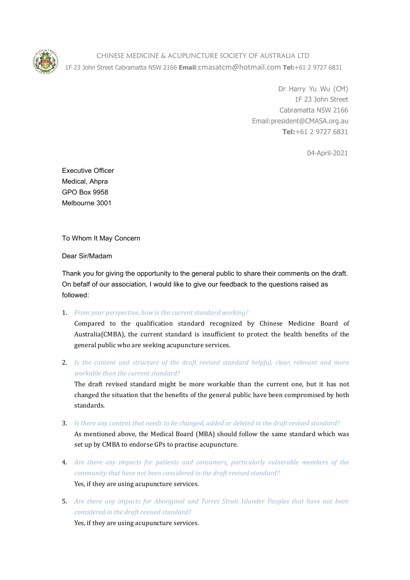

CHINESE MEDICINE & ACUPUNCTURE SOCIETY OF AUSTRALIA LTD 1F 23 John Street Cabramatta NSW 2166 **Email**:cmasatcm@hotmail.com **Tel:**+61 2 9727 6831

> Dr Harry Yu Wu (CM) 1F 23 John Street Cabramatta NSW 2166 Email:president@CMASA.org.au **Tel:**+61 2 9727 6831

> > 04-April-2021

Executive Officer Medical, Ahpra GPO Box 9958 Melbourne 3001

To Whom It May Concern

Dear Sir/Madam

Thank you for giving the opportunity to the general public to share their comments on the draft. On befalf of our association, I would like to give our feedback to the questions raised as followed:

1. *From your perspective, how is the current standard working?*

Compared to the qualification standard recognized by Chinese Medicine Board of Australia(CMBA), the current standard is insufficient to protect the health benefits of the general public who are seeking acupuncture services.

2. *Is the content and structure of the draft revised standard helpful, clear,relevant and more workable than the current standard?*

The draft revised standard might be more workable than the current one, but it has not changed the situation that the benefits of the general public have been compromised by both standards.

3. *Is there any content that needs to be changed, added or deleted in the draft revised standard?*

As mentioned above, the Medical Board (MBA) should follow the same standard which was set up by CMBA to endorse GPs to practise acupuncture.

- 4. *Are there any impacts for patients and consumers, particularly vulnerable members of the community that have not been considered in thedraft revised standard?* Yes, if they are using acupuncture services.
- 5. *Are there any impacts for Aboriginal and Torres Strait Islander Peoples that have not been considered in the draft revised standard?*

Yes, if they are using acupuncture services.